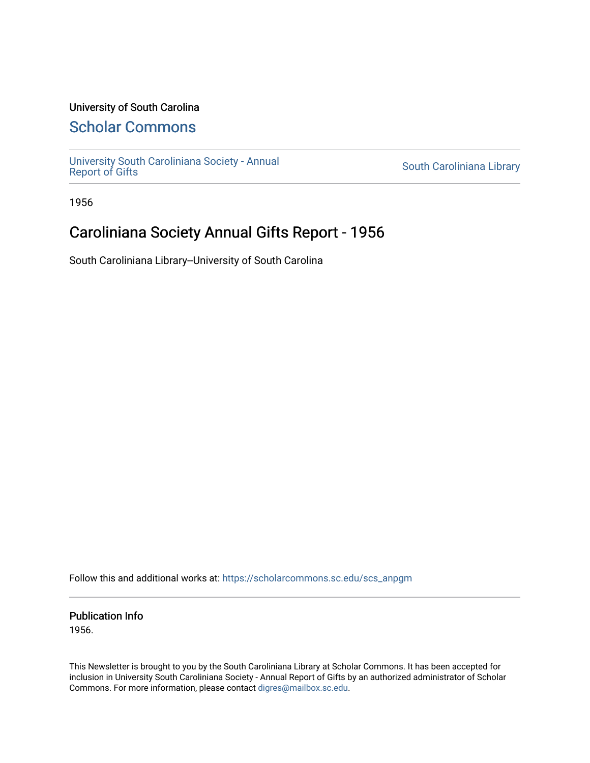### University of South Carolina

### [Scholar Commons](https://scholarcommons.sc.edu/)

[University South Caroliniana Society - Annual](https://scholarcommons.sc.edu/scs_anpgm) 

South Caroliniana Library

1956

# Caroliniana Society Annual Gifts Report - 1956

South Caroliniana Library--University of South Carolina

Follow this and additional works at: [https://scholarcommons.sc.edu/scs\\_anpgm](https://scholarcommons.sc.edu/scs_anpgm?utm_source=scholarcommons.sc.edu%2Fscs_anpgm%2F57&utm_medium=PDF&utm_campaign=PDFCoverPages) 

Publication Info 1956.

This Newsletter is brought to you by the South Caroliniana Library at Scholar Commons. It has been accepted for inclusion in University South Caroliniana Society - Annual Report of Gifts by an authorized administrator of Scholar Commons. For more information, please contact [digres@mailbox.sc.edu](mailto:digres@mailbox.sc.edu).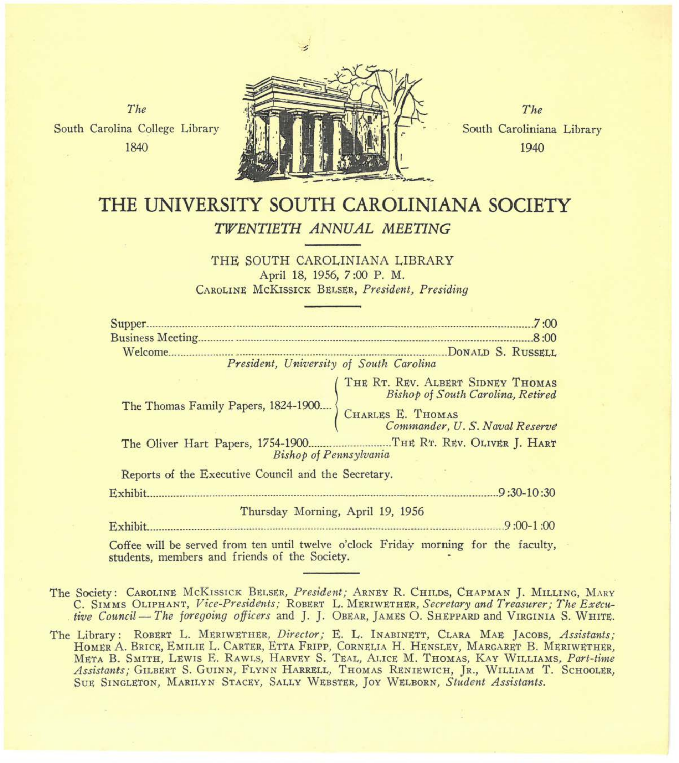

*The*  South Caroliniana Library 1940

## **THE UNIVERSITY SOUTH CAROLINIANA SOCIETY TWENTIETH ANNUAL MEETING**

THE SOUTH CAROLINIANA LIBRARY April 18, 1956, 7 :00 P. M. CAROLINE McKISSICK BELSER, *President, Presiding* 

|                                                     | 7:00                                                                                                                         |
|-----------------------------------------------------|------------------------------------------------------------------------------------------------------------------------------|
|                                                     | .8:00                                                                                                                        |
| Welcome<br>President, University of South Carolina  | <b>EXECUTE IN STREET BOOKSELL</b>                                                                                            |
| The Thomas Family Papers, $1824-1900$               | THE RT. REV. ALBERT SIDNEY THOMAS<br>Bishop of South Carolina, Retired<br>CHARLES E. THOMAS<br>Commander, U.S. Naval Reserve |
| <b>Bishop of Pennsylvania</b>                       |                                                                                                                              |
| Reports of the Executive Council and the Secretary. |                                                                                                                              |
| Exhibit.                                            | $.9:30-10:30$                                                                                                                |
| Thursday Morning, April 19, 1956                    |                                                                                                                              |

Exhibit ..... ·-···························-··································-··-·--···-···-···--·----· ----------····-·---------9 :00-1 :00

Coffee will be served from ten until twelve o'clock Friday morning for the faculty, students, members and friends of the Society.

- The Society : CAROLINE MCKISSICK BELSER, *President;* ARNEY R. CHILDS, CHAPMAN **J.** MILLING, MARY C. SIMMS OLIPHANT, *Vice-Presidents;* ROBERT L. MERIWETHER, Secretary and Treasurer; The Execu*tive Council-The foregoing officers* and J. J. 0BEAR, }AMES 0. SHEPPARD and VIRGINIA S. WHITE.
- The Library: ROBERT L. MERIWETHER, *Director*; E. L. INABINETT, CLARA MAE JACOBS, Assistants; HOMER A. BRICE, EMILIE L. CARTER, ETTA FRIPP, CORNELIA H. HENSLEY, MARGARET B. MERIWETHER, META B. SMITH, LEWIS E. RAWLS, HARVEY S. TEAL, ALICE M. THOMAS, KAY WILLIAMS, Part-time Assistants; GILBERT S. GUINN, FLYNN HARRELL, THOMAS RENIEWICH, JR., WILLIAM T. SCHOOLER, SuE SINGLETON, MARILYN STACEY, SALLY W EBSTER, JoY WELBORN, *Student Assistants.*

*The*  South Carolina College Library 1840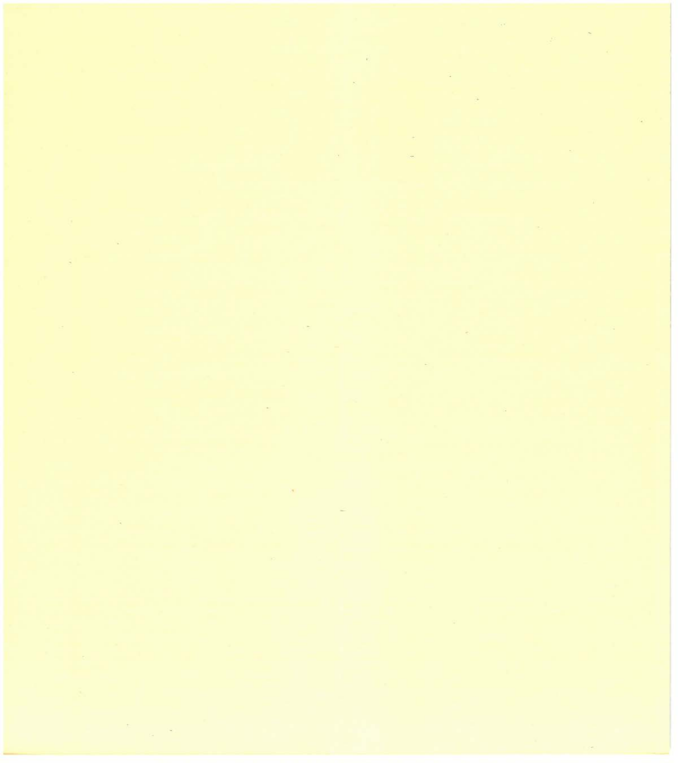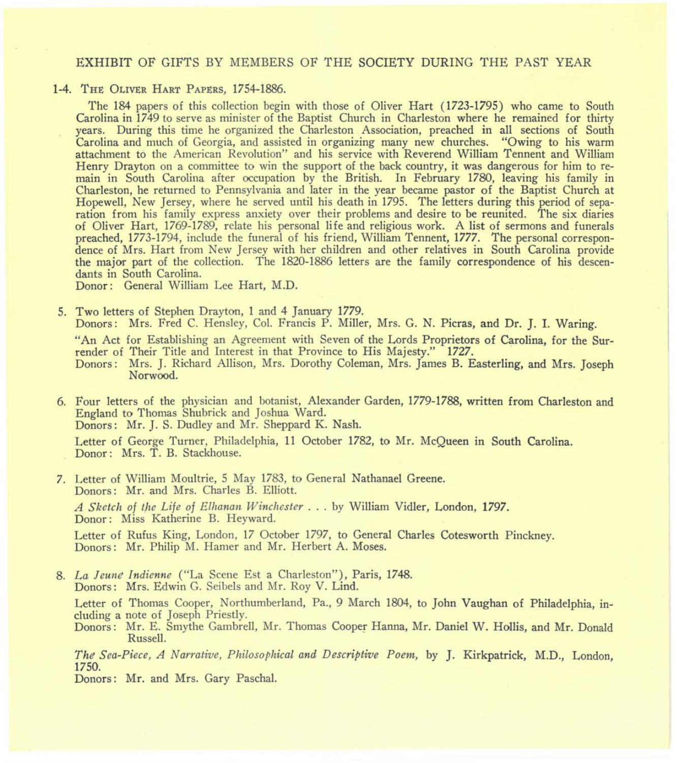#### EXHIBIT OF GIFTS BY MEMBERS OF THE SOCIETY DURING THE PAST YEAR

1-4. Tm: OLIVER *HART* PAPERS, 1754-1886.

The 184 papers of this collection begin with those of Oliver Hart (1723-1795) who came to South Carolina in 1749 to serve as minister of the Baptist Church in Charleston where he remained for thirty years. During this time he organized the Charleston Association, preached in all sections of South Carolina and much of Georgia, and assisted in organizing many new churches. "Owing to his warm attachment to the American Revolution" and his service with Reverend William Tennent and William Henry Drayton on a committee to win the support of the back country, it was dangerous for him to remain in South Carolina after occupation by the British. In February 1780, leaving his family in Charleston, he returned to Pennsylvania and later in the year became pastor of the Baptist Church at Hopewell, New Jersey, where he served until his death in 1795. The letters during this period of separation from his family express anxiety over their problems and desire to be reunited. The six diaries of Oliver Hart, 1769-1789, relate his personal life and religious work. A list of sermons and funerals preached, 1773-1794, include the funeral of his friend, William Tennent, 1777. The personal correspondence of Mrs. Hart from New Jersey with her children and other relatives in South Carolina provide the major part of the collection. The 1820-1886 letters are the family correspondence of his descendants in South Carolina.

Donor: General William Lee Hart, M.D.

5. Two letters of Stephen Drayton, 1 and 4 January 1779. Donors: Mrs. Fred C. Hensley, Col. Francis P. Miller, Mrs. G. N. Picras, and Dr. J. I. Waring. "An Act for Establishing an Agreement with Seven of the Lords Proprietors of Carolina, for the Surrender of Their Title and Interest in that Province to His Majesty." 1727. Donors: Mrs. J. Richard Allison, Mrs. Dorothy Coleman, Mrs. James B. Easterling, and Mrs. Joseph Norwood.

- 6. Four letters of the physician and botanist, Alexander Garden, 1779-1788, written from Charleston and England to Thomas Shubrick and Joshua Ward. Donors: Mr. J. S. Dudley and Mr. Sheppard K. Nash. Letter of George Turner, Philadelphia, 11 October 1782, to Mr. McQueen in South Carolina. Donor: Mrs. T. B. Stackhouse.
- 7. Letter of William Moultrie, 5 May 1783, to General Nathanael Greene. Donors: Mr. and Mrs. Charles B. Elliott. *A Sketch of t/ie Life of Elhanan Winchester* . .. by William Vidler, London, 1797. Donor: Miss Katherine B. Heyward. Letter of Rufus King, London, 17 October 1797, to General Charles Cotesworth Pinckney. Donors: Mr. Philip M. Hamer and Mr. Herbert A. Moses.
- 8. *La Jeune Indienne* ("La Scene Est a Charleston"), Paris, 1748. Donors: Mrs. Edwin G. Seibels and Mr. Roy V. Lind.

Letter of Thomas Cooper, Northumberland, Pa., 9 March 1804, to John Vaughan of Philadelphia, including a note of Joseph Priestly. Donors: Mr. E. Smythe Gambrell, Mr. Thomas Cooper Hanna, Mr. Daniel W. Hollis, and Mr. Donald Russell.

*The Sea-Piece, A Narrative, Philosophical and Descriptive Poem, by J. Kirkpatrick, M.D., London, 1750.* 

Donors: Mr. and Mrs. Gary Paschal.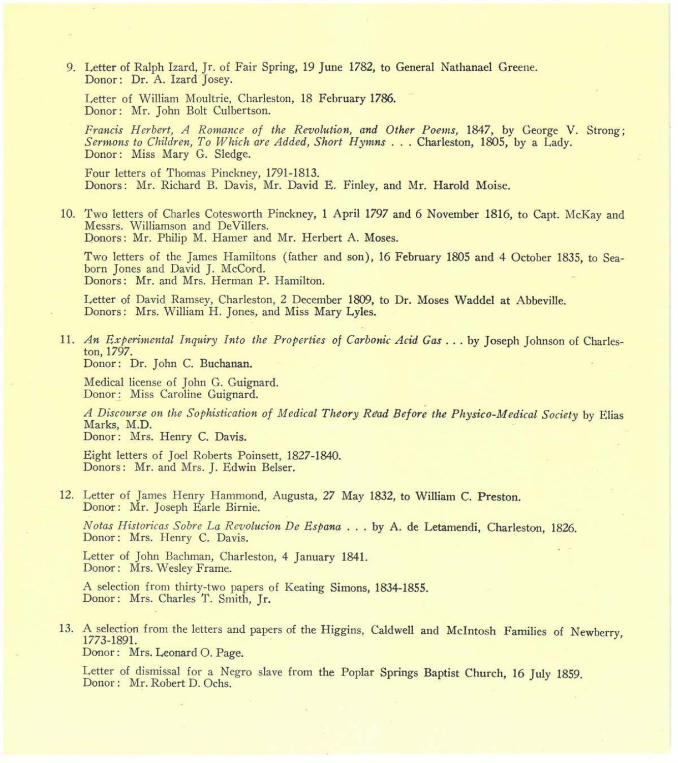9. Letter of Ralph Izard, Jr. of Fair Spring, 19 June 1782, to General Nathanael Greene. Donor: Dr. A. Izard Josey.

Letter of William Moultrie, Charleston, 18 February 1786. Donor: Mr. John Bolt Culbertson.

*Francis Herbert, A Romance of the Revolution, and Other Poems,* 1847, by George V. Strong; *Sermons to Children, To Which are Added, Short Hymns* ... Charleston, 1805, by a Lady. Donor: Miss Mary G. Sledge.

Four letters of Thomas Pinckney, 1791-1813. Donors: Mr. Richard B. Davis, Mr. David E. Finley, and Mr. Harold Moise.

10. Two letters of Charles Cotesworth Pinckney, 1 April 1797 and 6 November 1816, to Capt. McKay and Messrs. Williamson and DeVillers. Donors: Mr. Philip M. Hamer and Mr. Herbert A. Moses.

Two letters of the James Hamiltons (father and son), 16 February 1805 and 4 October 1835, to Seaborn Jones and David J. McCord. Donors: Mr. and Mrs. Herman P. Hamilton.

Letter of David Ramsey, Charleston, 2 December 1809, to Dr. Moses Waddel at Abbeville. Donors: Mrs. William H. Jones, and Miss Mary Lyles.

11. *An Experimental Inquiry Into the Properties of Carbonic Acid Gas .* .. by Joseph Johnson of Charleston, 1797. Donor: Dr. John C. Buchanan.

Medical license of John G. Guignard.

Donor: Miss Caroline Guignard.

A Discourse on the Sophistication of Medical Theory Read Before the Physico-Medical Society by Elias Marks, M.D. Donor: Mrs. Henry C. Davis.

Eight letters of Joel Roberts Poinsett, 1827-1840. Donors: Mr. and Mrs. J. Edwin Belser.

12. Letter of James Henry Hammond, Augusta, *27* May 1832, to William C. Preston. Donor: Mr. Joseph Earle Birnie.

*Notas Historicas Sabre La R evolucion De Espana* ... by A. de Letamendi, Charleston, 1826. Donor: Mrs. Henry C. Davis.

Letter of John Bachman, Charleston, 4 January 1841. Donor: Mrs. Wesley Frame.

A selection from thirty-two papers of Keating Simons, 1834-1855. Donor: Mrs. Charles T. Smith, Jr.

13. A selection from the letters and papers of the Higgins, Caldwell and McIntosh Families of Newberry, 1773-1891. Donor: Mrs. Leonard 0. Page.

Letter of dismissal for a Negro slave from the Poplar Springs Baptist Church, 16 July 1859. Donor: Mr. Robert D. Ochs.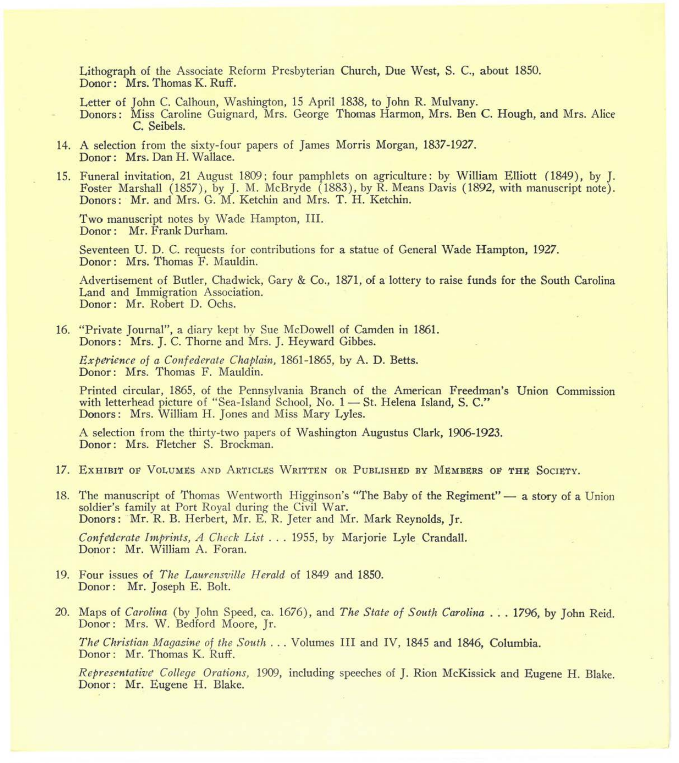Lithograph of the Associate Reform Presbyterian Church, Due West, S. C., about 1850. Donor: Mrs. Thomas K. Ruff.

Letter of John C. Calhoun, Washington, 15 April 1838, to John R. Mulvany. Donors: Miss Caroline Guignard, Mrs. George Thomas Harmon, Mrs. Ben C. Hough, and Mrs. Alice C. Seibels.

- 14. A selection from the sixty-four papers of James Morris Morgan, 1837-1927. Donor: Mrs. Dan H. Wallace.
- 15. Funeral invitation, 21 August 1809; four pamphlets on agriculture: by William Elliott (1849), by J. Foster Marshall (1857), by J. M. McBryde (1883), by R. Means Davis (1892, with manuscript note). Donors: Mr. and Mrs. G. M. Ketchin and Mrs. T. H. Ketchin.

Two manuscript notes by Wade Hampton, III. Donor: Mr. Frank Durham.

Seventeen U. D. C. requests for contributions for a statue of General Wade Hampton, 1927. Donor: Mrs. Thomas F. Mauldin.

Advertisement of Butler, Chadwick, Gary & Co., 1871, of a lottery to raise funds for the South Carolina Land and Immigration Association. Donor: Mr. Robert D. Ochs.

16. "Private Journal", a diary kept by Sue McDowell of Camden in 1861. Donors: Mrs. J. C. Thorne and Mrs. J. Heyward Gibbes.

*Experience of a Confederate Chaplain,* 1861-1865, by A. D. Betts. Donor: Mrs. Thomas F. Mauldin.

Printed circular, 1865, of the Pennsylvania Branch of the American Freedman's Union Commission with letterhead picture of "Sea-Island School, No.  $1 - St$ . Helena Island, S. C." Donors: Mrs. William H. Jones and Miss Mary Lyles.

A selection from the thirty-two papers of Washington Augustus Clark, 1906-1923. Donor: Mrs. Fletcher S. Brockman.

- 17. EXHIBIT OF VOLUMES AND ARTICLES WRITTEN OR PUBLISHED BY MEMBERS OF THE SOCIETY.
- 18. The manuscript of Thomas Wentworth Higginson's "The Baby of the Regiment" a story of a Union soldier's family at Port Royal during the Civil War. Donors: Mr. R. B. Herbert, Mr. E. R. Jeter and Mr. Mark Reynolds, Jr.

*Confederate Imprints, A Check List* ... 1955, by Marjorie Lyle Crandall. Donor: Mr. William A. Foran.

- 19. Four issues of *The Laurensville Herald* of 1849 and 1850. Donor: Mr. Joseph E. Bolt.
- 20. Maps of *Carolina* (by John Speed, ca. 1676), and *The State of South Carolina* . . . 1796, by John Reid. Donor: Mrs. W. Bedford Moore, Jr.

*The Christian Magazine of the South* .. . Volumes III and IV, 1845 and 1846, Columbia. Donor: Mr. Thomas K. Ruff.

*Representative· College Orations,* 1909, including speeches of J. Rion McKissick and Eugene H. Blake. Donor: Mr. Eugene H. Blake.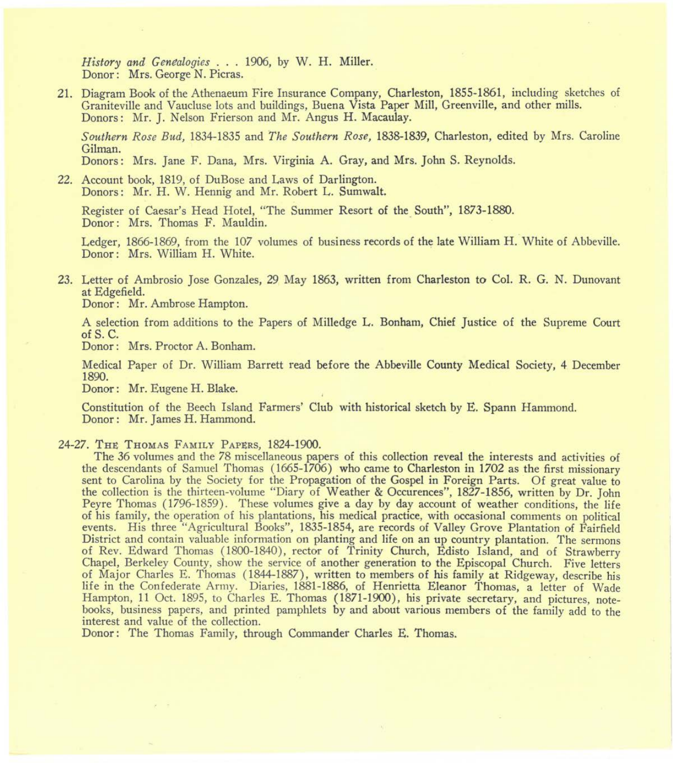*History and Genealogies* .. . 1906, by W. H. Miller. Donor: Mrs. George N. Picras.

21. Diagram Book of the Athenaeum Fire Insurance Company, Charleston, 1855-1861, including sketches of Graniteville and Vaucluse lots and buildings, Buena Vista Paper Mill, Greenville, and other mills. Donors: Mr. J. Nelson Frierson and Mr. Angus H. Macaulay.

*Southern Rose Bud,* 1834-1835 and *The Southern Rose,* 1838-1839, Charleston, edited by Mrs. Caroline Gilman.

Donors: Mrs. Jane F. Dana, Mrs. Virginia A. Gray, and Mrs. John S. Reynolds.

22. Account book, 1819, of DuBose and Laws of Darlington. Donors: Mr. H. W. Hennig and Mr. Robert L. Sumwalt.

Register of Caesar's Head Hotel, "The Summer Resort of the South", 1873-1880. Donor: Mrs. Thomas F. Mauldin.

Ledger, 1866-1869, from the 107 volumes of business records of the late William H. White of Abbeville. Donor: Mrs. William H. White.

23. Letter of Ambrosio Jose Gonzales, 29 May 1863, written from Charleston to Col. R. G. N. Dunovant at Edgefield.

Donor: Mr. Ambrose Hampton.

A selection from additions to the Papers of Milledge L. Bonham, Chief Justice of the Supreme Court of S. C.

Donor: Mrs. Proctor A. Bonham.

Medical Paper of Dr. William Barrett read before the Abbeville County Medical Society, 4 December 1890.

Donor: Mr. Eugene H. Blake.

Constitution of the Beech Island Farmers' Club with historical sketch by E. Spann Hammond. Donor: Mr. James H. Hammond.

#### 24-27. Tm: THOMAS FAMILY PAPERS, 1824-1900.

The 36 volumes and the 78 miscellaneous papers of this collection reveal the interests and activities of the descendants of Samuel Thomas (1665-1706) who came to Charleston in 1702 as the first missionary sent to Carolina by the Society for the Propagation of the Gospel in Foreign Parts. Of great value to the collection is the thirteen-volume "Diary of Weather & Occurences", 1827-1856, written by Dr. John Peyre Thomas ( 1796-1859). These volumes give a day by day account of weather conditions, the life of his family, the operation of his plantations, his medical practice, with occasional comments on political events. His three "Agricultural Books", 1835-1854, are records of Valley Grove Plantation of Fairfield District and contain valuable information on planting and life on an up country plantation. The sermons of Rev. Edward Thomas (1800-1840), rector of Trinity Church, Edisto Island, and of Strawberry Chapel, Berkeley County, show the service of another generation to the Episcopal Church. Five letters of Major Charles E. Thomas ( 1844-1887), written to members of his family at Ridgeway, describe his life in the Confederate Army. Diaries, 1881-1886, of Henrietta Eleanor Thomas, a letter of Wade Hampton, 11 Oct. 1895, to Charles E. Thomas (1871-1900), his private secretary, and pictures, notebooks, business papers, and printed pamphlets by and about various members of the family add to the interest and value of the collection.

Donor: The Thomas Family, through Commander Charles E. Thomas.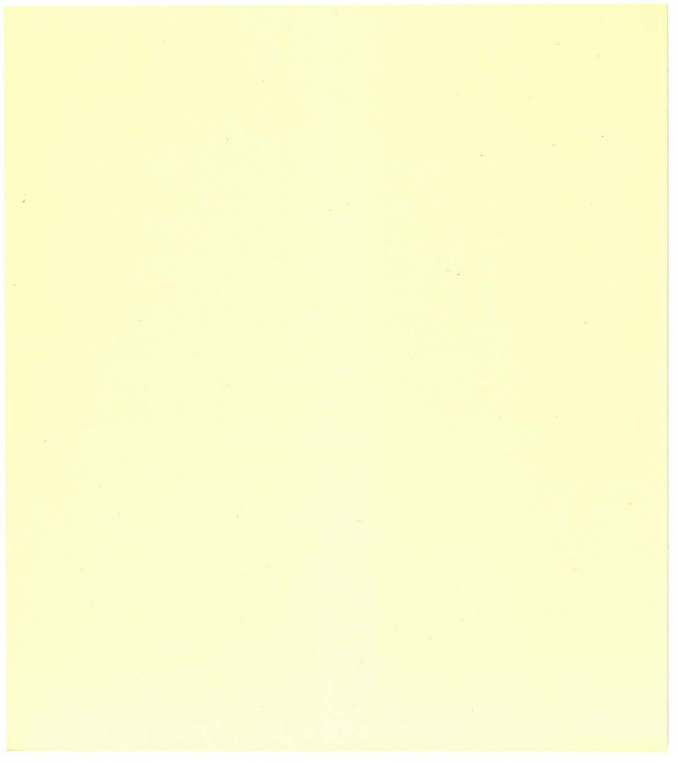